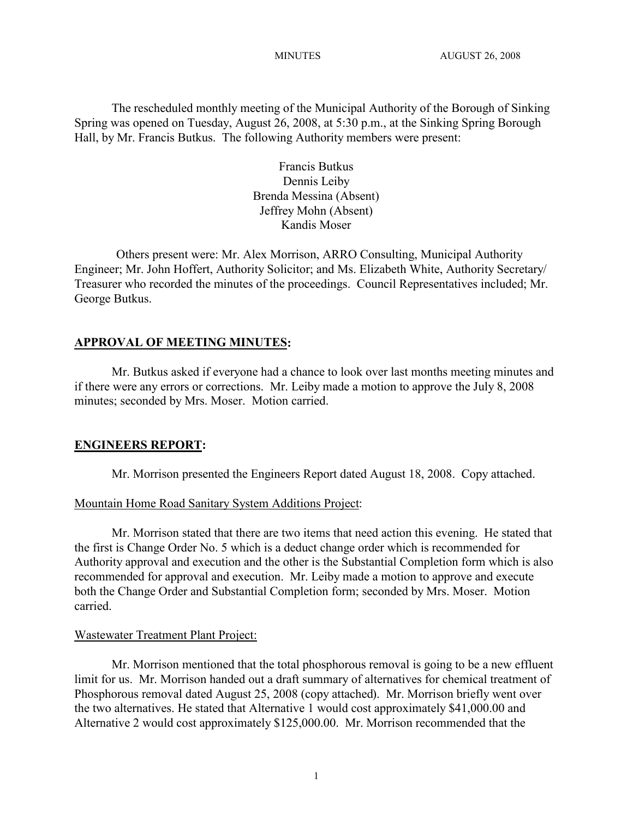The rescheduled monthly meeting of the Municipal Authority of the Borough of Sinking Spring was opened on Tuesday, August 26, 2008, at 5:30 p.m., at the Sinking Spring Borough Hall, by Mr. Francis Butkus. The following Authority members were present:

> Francis Butkus Dennis Leiby Brenda Messina (Absent) Jeffrey Mohn (Absent) Kandis Moser

Others present were: Mr. Alex Morrison, ARRO Consulting, Municipal Authority Engineer; Mr. John Hoffert, Authority Solicitor; and Ms. Elizabeth White, Authority Secretary/ Treasurer who recorded the minutes of the proceedings. Council Representatives included; Mr. George Butkus.

#### **APPROVAL OF MEETING MINUTES:**

Mr. Butkus asked if everyone had a chance to look over last months meeting minutes and if there were any errors or corrections. Mr. Leiby made a motion to approve the July 8, 2008 minutes; seconded by Mrs. Moser. Motion carried.

#### **ENGINEERS REPORT:**

Mr. Morrison presented the Engineers Report dated August 18, 2008. Copy attached.

#### Mountain Home Road Sanitary System Additions Project:

Mr. Morrison stated that there are two items that need action this evening. He stated that the first is Change Order No. 5 which is a deduct change order which is recommended for Authority approval and execution and the other is the Substantial Completion form which is also recommended for approval and execution. Mr. Leiby made a motion to approve and execute both the Change Order and Substantial Completion form; seconded by Mrs. Moser. Motion carried.

#### Wastewater Treatment Plant Project:

Mr. Morrison mentioned that the total phosphorous removal is going to be a new effluent limit for us. Mr. Morrison handed out a draft summary of alternatives for chemical treatment of Phosphorous removal dated August 25, 2008 (copy attached). Mr. Morrison briefly went over the two alternatives. He stated that Alternative 1 would cost approximately \$41,000.00 and Alternative 2 would cost approximately \$125,000.00. Mr. Morrison recommended that the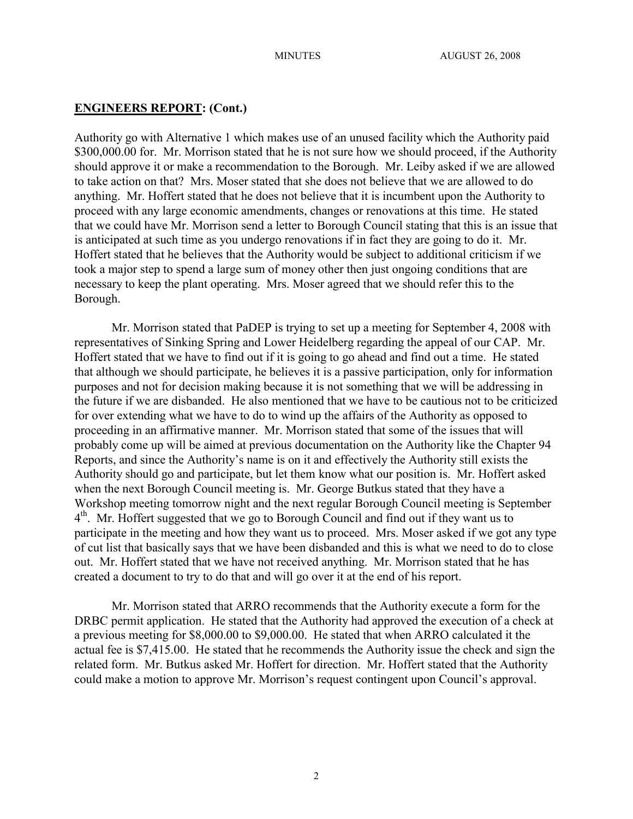## **ENGINEERS REPORT: (Cont.)**

Authority go with Alternative 1 which makes use of an unused facility which the Authority paid \$300,000.00 for. Mr. Morrison stated that he is not sure how we should proceed, if the Authority should approve it or make a recommendation to the Borough. Mr. Leiby asked if we are allowed to take action on that? Mrs. Moser stated that she does not believe that we are allowed to do anything. Mr. Hoffert stated that he does not believe that it is incumbent upon the Authority to proceed with any large economic amendments, changes or renovations at this time. He stated that we could have Mr. Morrison send a letter to Borough Council stating that this is an issue that is anticipated at such time as you undergo renovations if in fact they are going to do it. Mr. Hoffert stated that he believes that the Authority would be subject to additional criticism if we took a major step to spend a large sum of money other then just ongoing conditions that are necessary to keep the plant operating. Mrs. Moser agreed that we should refer this to the Borough.

Mr. Morrison stated that PaDEP is trying to set up a meeting for September 4, 2008 with representatives of Sinking Spring and Lower Heidelberg regarding the appeal of our CAP. Mr. Hoffert stated that we have to find out if it is going to go ahead and find out a time. He stated that although we should participate, he believes it is a passive participation, only for information purposes and not for decision making because it is not something that we will be addressing in the future if we are disbanded. He also mentioned that we have to be cautious not to be criticized for over extending what we have to do to wind up the affairs of the Authority as opposed to proceeding in an affirmative manner. Mr. Morrison stated that some of the issues that will probably come up will be aimed at previous documentation on the Authority like the Chapter 94 Reports, and since the Authority's name is on it and effectively the Authority still exists the Authority should go and participate, but let them know what our position is. Mr. Hoffert asked when the next Borough Council meeting is. Mr. George Butkus stated that they have a Workshop meeting tomorrow night and the next regular Borough Council meeting is September 4<sup>th</sup>. Mr. Hoffert suggested that we go to Borough Council and find out if they want us to participate in the meeting and how they want us to proceed. Mrs. Moser asked if we got any type of cut list that basically says that we have been disbanded and this is what we need to do to close out. Mr. Hoffert stated that we have not received anything. Mr. Morrison stated that he has created a document to try to do that and will go over it at the end of his report.

Mr. Morrison stated that ARRO recommends that the Authority execute a form for the DRBC permit application. He stated that the Authority had approved the execution of a check at a previous meeting for \$8,000.00 to \$9,000.00. He stated that when ARRO calculated it the actual fee is \$7,415.00. He stated that he recommends the Authority issue the check and sign the related form. Mr. Butkus asked Mr. Hoffert for direction. Mr. Hoffert stated that the Authority could make a motion to approve Mr. Morrison's request contingent upon Council's approval.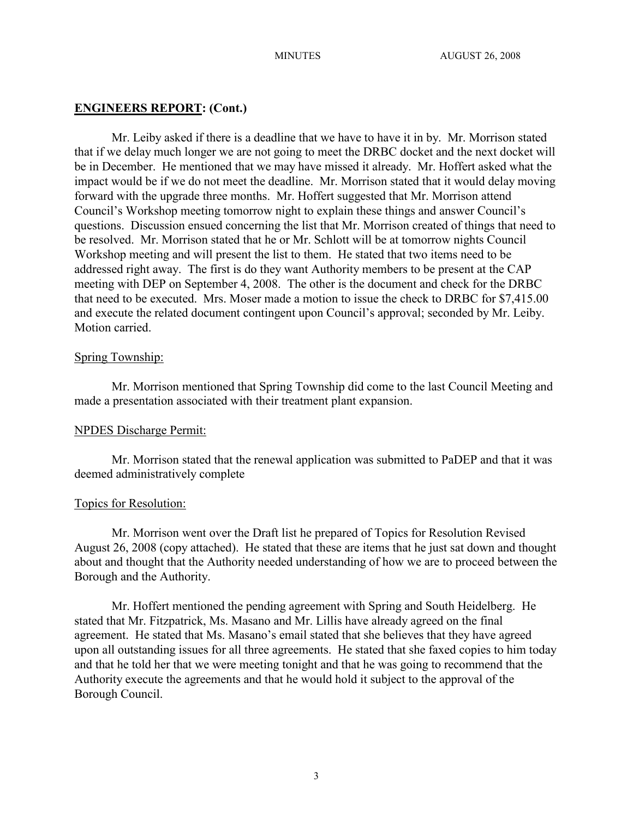## **ENGINEERS REPORT: (Cont.)**

Mr. Leiby asked if there is a deadline that we have to have it in by. Mr. Morrison stated that if we delay much longer we are not going to meet the DRBC docket and the next docket will be in December. He mentioned that we may have missed it already. Mr. Hoffert asked what the impact would be if we do not meet the deadline. Mr. Morrison stated that it would delay moving forward with the upgrade three months. Mr. Hoffert suggested that Mr. Morrison attend Council's Workshop meeting tomorrow night to explain these things and answer Council's questions. Discussion ensued concerning the list that Mr. Morrison created of things that need to be resolved. Mr. Morrison stated that he or Mr. Schlott will be at tomorrow nights Council Workshop meeting and will present the list to them. He stated that two items need to be addressed right away. The first is do they want Authority members to be present at the CAP meeting with DEP on September 4, 2008. The other is the document and check for the DRBC that need to be executed. Mrs. Moser made a motion to issue the check to DRBC for \$7,415.00 and execute the related document contingent upon Council's approval; seconded by Mr. Leiby. Motion carried.

### Spring Township:

Mr. Morrison mentioned that Spring Township did come to the last Council Meeting and made a presentation associated with their treatment plant expansion.

### NPDES Discharge Permit:

Mr. Morrison stated that the renewal application was submitted to PaDEP and that it was deemed administratively complete

### Topics for Resolution:

Mr. Morrison went over the Draft list he prepared of Topics for Resolution Revised August 26, 2008 (copy attached). He stated that these are items that he just sat down and thought about and thought that the Authority needed understanding of how we are to proceed between the Borough and the Authority.

Mr. Hoffert mentioned the pending agreement with Spring and South Heidelberg. He stated that Mr. Fitzpatrick, Ms. Masano and Mr. Lillis have already agreed on the final agreement. He stated that Ms. Masano's email stated that she believes that they have agreed upon all outstanding issues for all three agreements. He stated that she faxed copies to him today and that he told her that we were meeting tonight and that he was going to recommend that the Authority execute the agreements and that he would hold it subject to the approval of the Borough Council.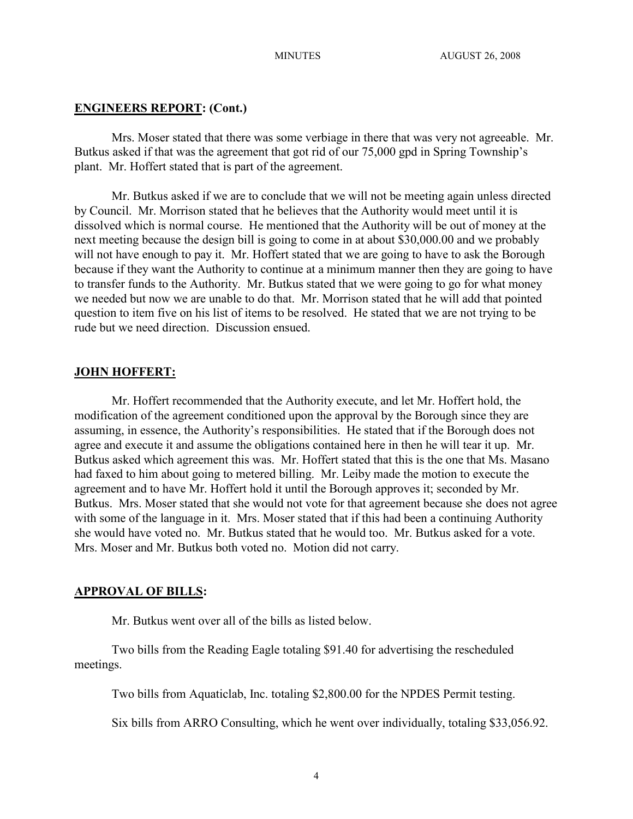## **ENGINEERS REPORT: (Cont.)**

Mrs. Moser stated that there was some verbiage in there that was very not agreeable. Mr. Butkus asked if that was the agreement that got rid of our 75,000 gpd in Spring Township's plant. Mr. Hoffert stated that is part of the agreement.

Mr. Butkus asked if we are to conclude that we will not be meeting again unless directed by Council. Mr. Morrison stated that he believes that the Authority would meet until it is dissolved which is normal course. He mentioned that the Authority will be out of money at the next meeting because the design bill is going to come in at about \$30,000.00 and we probably will not have enough to pay it. Mr. Hoffert stated that we are going to have to ask the Borough because if they want the Authority to continue at a minimum manner then they are going to have to transfer funds to the Authority. Mr. Butkus stated that we were going to go for what money we needed but now we are unable to do that. Mr. Morrison stated that he will add that pointed question to item five on his list of items to be resolved. He stated that we are not trying to be rude but we need direction. Discussion ensued.

## **JOHN HOFFERT:**

Mr. Hoffert recommended that the Authority execute, and let Mr. Hoffert hold, the modification of the agreement conditioned upon the approval by the Borough since they are assuming, in essence, the Authority's responsibilities. He stated that if the Borough does not agree and execute it and assume the obligations contained here in then he will tear it up. Mr. Butkus asked which agreement this was. Mr. Hoffert stated that this is the one that Ms. Masano had faxed to him about going to metered billing. Mr. Leiby made the motion to execute the agreement and to have Mr. Hoffert hold it until the Borough approves it; seconded by Mr. Butkus. Mrs. Moser stated that she would not vote for that agreement because she does not agree with some of the language in it. Mrs. Moser stated that if this had been a continuing Authority she would have voted no. Mr. Butkus stated that he would too. Mr. Butkus asked for a vote. Mrs. Moser and Mr. Butkus both voted no. Motion did not carry.

# **APPROVAL OF BILLS:**

Mr. Butkus went over all of the bills as listed below.

Two bills from the Reading Eagle totaling \$91.40 for advertising the rescheduled meetings.

Two bills from Aquaticlab, Inc. totaling \$2,800.00 for the NPDES Permit testing.

Six bills from ARRO Consulting, which he went over individually, totaling \$33,056.92.